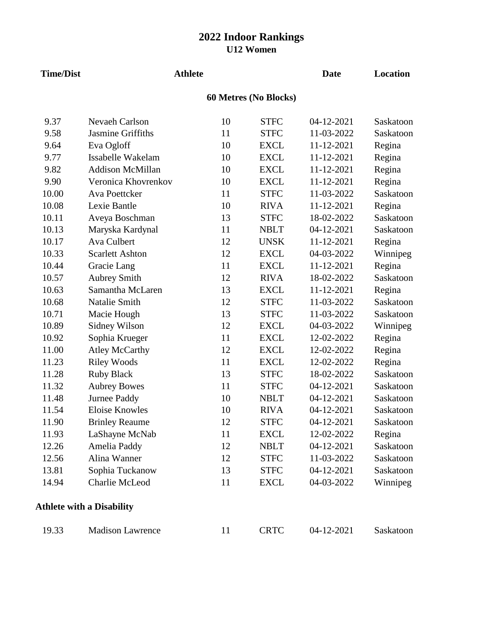| <b>Time/Dist</b> | <b>Athlete</b>                   |    |                       | <b>Date</b> | <b>Location</b> |
|------------------|----------------------------------|----|-----------------------|-------------|-----------------|
|                  |                                  |    | 60 Metres (No Blocks) |             |                 |
| 9.37             | <b>Nevaeh Carlson</b>            | 10 | <b>STFC</b>           | 04-12-2021  | Saskatoon       |
| 9.58             | Jasmine Griffiths                | 11 | <b>STFC</b>           | 11-03-2022  | Saskatoon       |
| 9.64             | Eva Ogloff                       | 10 | <b>EXCL</b>           | 11-12-2021  | Regina          |
| 9.77             | Issabelle Wakelam                | 10 | <b>EXCL</b>           | 11-12-2021  | Regina          |
| 9.82             | <b>Addison McMillan</b>          | 10 | <b>EXCL</b>           | 11-12-2021  | Regina          |
| 9.90             | Veronica Khovrenkov              | 10 | <b>EXCL</b>           | 11-12-2021  | Regina          |
| 10.00            | Ava Poettcker                    | 11 | <b>STFC</b>           | 11-03-2022  | Saskatoon       |
| 10.08            | Lexie Bantle                     | 10 | <b>RIVA</b>           | 11-12-2021  | Regina          |
| 10.11            | Aveya Boschman                   | 13 | <b>STFC</b>           | 18-02-2022  | Saskatoon       |
| 10.13            | Maryska Kardynal                 | 11 | <b>NBLT</b>           | 04-12-2021  | Saskatoon       |
| 10.17            | <b>Ava Culbert</b>               | 12 | <b>UNSK</b>           | 11-12-2021  | Regina          |
| 10.33            | <b>Scarlett Ashton</b>           | 12 | <b>EXCL</b>           | 04-03-2022  | Winnipeg        |
| 10.44            | Gracie Lang                      | 11 | <b>EXCL</b>           | 11-12-2021  | Regina          |
| 10.57            | <b>Aubrey Smith</b>              | 12 | <b>RIVA</b>           | 18-02-2022  | Saskatoon       |
| 10.63            | Samantha McLaren                 | 13 | <b>EXCL</b>           | 11-12-2021  | Regina          |
| 10.68            | Natalie Smith                    | 12 | <b>STFC</b>           | 11-03-2022  | Saskatoon       |
| 10.71            | Macie Hough                      | 13 | <b>STFC</b>           | 11-03-2022  | Saskatoon       |
| 10.89            | Sidney Wilson                    | 12 | <b>EXCL</b>           | 04-03-2022  | Winnipeg        |
| 10.92            | Sophia Krueger                   | 11 | <b>EXCL</b>           | 12-02-2022  | Regina          |
| 11.00            | <b>Atley McCarthy</b>            | 12 | <b>EXCL</b>           | 12-02-2022  | Regina          |
| 11.23            | <b>Riley Woods</b>               | 11 | <b>EXCL</b>           | 12-02-2022  | Regina          |
| 11.28            | <b>Ruby Black</b>                | 13 | <b>STFC</b>           | 18-02-2022  | Saskatoon       |
| 11.32            | <b>Aubrey Bowes</b>              | 11 | <b>STFC</b>           | 04-12-2021  | Saskatoon       |
| 11.48            | Jurnee Paddy                     | 10 | <b>NBLT</b>           | 04-12-2021  | Saskatoon       |
| 11.54            | <b>Eloise Knowles</b>            | 10 | <b>RIVA</b>           | 04-12-2021  | Saskatoon       |
| 11.90            | <b>Brinley Reaume</b>            | 12 | <b>STFC</b>           | 04-12-2021  | Saskatoon       |
| 11.93            | LaShayne McNab                   | 11 | <b>EXCL</b>           | 12-02-2022  | Regina          |
| 12.26            | Amelia Paddy                     | 12 | <b>NBLT</b>           | 04-12-2021  | Saskatoon       |
| 12.56            | Alina Wanner                     | 12 | <b>STFC</b>           | 11-03-2022  | Saskatoon       |
| 13.81            | Sophia Tuckanow                  | 13 | <b>STFC</b>           | 04-12-2021  | Saskatoon       |
| 14.94            | <b>Charlie McLeod</b>            | 11 | <b>EXCL</b>           | 04-03-2022  | Winnipeg        |
|                  | <b>Athlete with a Disability</b> |    |                       |             |                 |
| 19.33            | <b>Madison Lawrence</b>          | 11 | <b>CRTC</b>           | 04-12-2021  | Saskatoon       |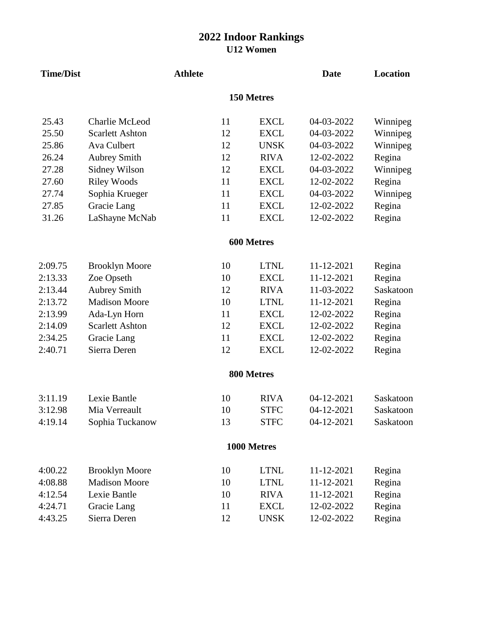| <b>Time/Dist</b> |                        | <b>Athlete</b> |    |             | <b>Date</b> | <b>Location</b> |
|------------------|------------------------|----------------|----|-------------|-------------|-----------------|
|                  |                        |                |    | 150 Metres  |             |                 |
| 25.43            | <b>Charlie McLeod</b>  |                | 11 | <b>EXCL</b> | 04-03-2022  | Winnipeg        |
| 25.50            | <b>Scarlett Ashton</b> |                | 12 | <b>EXCL</b> | 04-03-2022  | Winnipeg        |
| 25.86            | Ava Culbert            |                | 12 | <b>UNSK</b> | 04-03-2022  | Winnipeg        |
| 26.24            | <b>Aubrey Smith</b>    |                | 12 | <b>RIVA</b> | 12-02-2022  | Regina          |
| 27.28            | Sidney Wilson          |                | 12 | <b>EXCL</b> | 04-03-2022  | Winnipeg        |
| 27.60            | <b>Riley Woods</b>     |                | 11 | <b>EXCL</b> | 12-02-2022  | Regina          |
| 27.74            | Sophia Krueger         |                | 11 | <b>EXCL</b> | 04-03-2022  | Winnipeg        |
| 27.85            | Gracie Lang            |                | 11 | <b>EXCL</b> | 12-02-2022  | Regina          |
| 31.26            | LaShayne McNab         |                | 11 | <b>EXCL</b> | 12-02-2022  | Regina          |
|                  |                        |                |    | 600 Metres  |             |                 |
| 2:09.75          | <b>Brooklyn Moore</b>  |                | 10 | <b>LTNL</b> | 11-12-2021  | Regina          |
| 2:13.33          | Zoe Opseth             |                | 10 | <b>EXCL</b> | 11-12-2021  | Regina          |
| 2:13.44          | <b>Aubrey Smith</b>    |                | 12 | <b>RIVA</b> | 11-03-2022  | Saskatoon       |
| 2:13.72          | <b>Madison Moore</b>   |                | 10 | <b>LTNL</b> | 11-12-2021  | Regina          |
| 2:13.99          | Ada-Lyn Horn           |                | 11 | <b>EXCL</b> | 12-02-2022  | Regina          |
| 2:14.09          | <b>Scarlett Ashton</b> |                | 12 | <b>EXCL</b> | 12-02-2022  | Regina          |
| 2:34.25          | Gracie Lang            |                | 11 | <b>EXCL</b> | 12-02-2022  | Regina          |
| 2:40.71          | Sierra Deren           |                | 12 | <b>EXCL</b> | 12-02-2022  | Regina          |
|                  |                        |                |    | 800 Metres  |             |                 |
| 3:11.19          | Lexie Bantle           |                | 10 | <b>RIVA</b> | 04-12-2021  | Saskatoon       |
| 3:12.98          | Mia Verreault          |                | 10 | <b>STFC</b> | 04-12-2021  | Saskatoon       |
| 4:19.14          | Sophia Tuckanow        |                | 13 | <b>STFC</b> | 04-12-2021  | Saskatoon       |
|                  |                        |                |    | 1000 Metres |             |                 |
| 4:00.22          | <b>Brooklyn Moore</b>  |                | 10 | <b>LTNL</b> | 11-12-2021  | Regina          |
| 4:08.88          | <b>Madison Moore</b>   |                | 10 | <b>LTNL</b> | 11-12-2021  | Regina          |
| 4:12.54          | Lexie Bantle           |                | 10 | <b>RIVA</b> | 11-12-2021  | Regina          |
| 4:24.71          | Gracie Lang            |                | 11 | <b>EXCL</b> | 12-02-2022  | Regina          |
| 4:43.25          | Sierra Deren           |                | 12 | <b>UNSK</b> | 12-02-2022  | Regina          |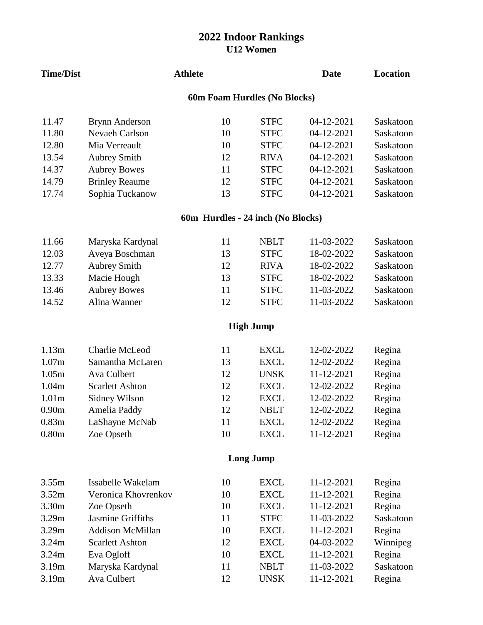| <b>Time/Dist</b>             |                                   | <b>Athlete</b> |                  | <b>Date</b> | Location  |  |  |  |  |
|------------------------------|-----------------------------------|----------------|------------------|-------------|-----------|--|--|--|--|
| 60m Foam Hurdles (No Blocks) |                                   |                |                  |             |           |  |  |  |  |
| 11.47                        | <b>Brynn Anderson</b>             | 10             | <b>STFC</b>      | 04-12-2021  | Saskatoon |  |  |  |  |
| 11.80                        | Nevaeh Carlson                    | 10             | <b>STFC</b>      | 04-12-2021  | Saskatoon |  |  |  |  |
| 12.80                        | Mia Verreault                     | 10             | <b>STFC</b>      | 04-12-2021  | Saskatoon |  |  |  |  |
| 13.54                        | <b>Aubrey Smith</b>               | 12             | <b>RIVA</b>      | 04-12-2021  | Saskatoon |  |  |  |  |
| 14.37                        | <b>Aubrey Bowes</b>               | 11             | <b>STFC</b>      | 04-12-2021  | Saskatoon |  |  |  |  |
| 14.79                        | <b>Brinley Reaume</b>             | 12             | <b>STFC</b>      | 04-12-2021  | Saskatoon |  |  |  |  |
| 17.74                        | Sophia Tuckanow                   | 13             | <b>STFC</b>      | 04-12-2021  | Saskatoon |  |  |  |  |
|                              | 60m Hurdles - 24 inch (No Blocks) |                |                  |             |           |  |  |  |  |
| 11.66                        | Maryska Kardynal                  | 11             | <b>NBLT</b>      | 11-03-2022  | Saskatoon |  |  |  |  |
| 12.03                        | Aveya Boschman                    | 13             | <b>STFC</b>      | 18-02-2022  | Saskatoon |  |  |  |  |
| 12.77                        | <b>Aubrey Smith</b>               | 12             | <b>RIVA</b>      | 18-02-2022  | Saskatoon |  |  |  |  |
| 13.33                        | Macie Hough                       | 13             | <b>STFC</b>      | 18-02-2022  | Saskatoon |  |  |  |  |
| 13.46                        | <b>Aubrey Bowes</b>               | 11             | <b>STFC</b>      | 11-03-2022  | Saskatoon |  |  |  |  |
| 14.52                        | Alina Wanner                      | 12             | <b>STFC</b>      | 11-03-2022  | Saskatoon |  |  |  |  |
|                              |                                   |                | <b>High Jump</b> |             |           |  |  |  |  |
| 1.13m                        | Charlie McLeod                    | 11             | <b>EXCL</b>      | 12-02-2022  | Regina    |  |  |  |  |
| 1.07m                        | Samantha McLaren                  | 13             | <b>EXCL</b>      | 12-02-2022  | Regina    |  |  |  |  |
| 1.05m                        | Ava Culbert                       | 12             | <b>UNSK</b>      | 11-12-2021  | Regina    |  |  |  |  |
| 1.04m                        | <b>Scarlett Ashton</b>            | 12             | <b>EXCL</b>      | 12-02-2022  | Regina    |  |  |  |  |
| 1.01 <sub>m</sub>            | Sidney Wilson                     | 12             | <b>EXCL</b>      | 12-02-2022  | Regina    |  |  |  |  |
| 0.90 <sub>m</sub>            | Amelia Paddy                      | 12             | <b>NBLT</b>      | 12-02-2022  | Regina    |  |  |  |  |
| 0.83m                        | LaShayne McNab                    | 11             | <b>EXCL</b>      | 12-02-2022  | Regina    |  |  |  |  |
| 0.80 <sub>m</sub>            | Zoe Opseth                        | 10             | <b>EXCL</b>      | 11-12-2021  | Regina    |  |  |  |  |
|                              | <b>Long Jump</b>                  |                |                  |             |           |  |  |  |  |
| 3.55m                        | Issabelle Wakelam                 | 10             | <b>EXCL</b>      | 11-12-2021  | Regina    |  |  |  |  |
| 3.52m                        | Veronica Khovrenkov               | 10             | <b>EXCL</b>      | 11-12-2021  | Regina    |  |  |  |  |
| 3.30m                        | Zoe Opseth                        | 10             | <b>EXCL</b>      | 11-12-2021  | Regina    |  |  |  |  |
| 3.29m                        | Jasmine Griffiths                 | 11             | <b>STFC</b>      | 11-03-2022  | Saskatoon |  |  |  |  |
| 3.29m                        | <b>Addison McMillan</b>           | 10             | <b>EXCL</b>      | 11-12-2021  | Regina    |  |  |  |  |
| 3.24m                        | <b>Scarlett Ashton</b>            | 12             | <b>EXCL</b>      | 04-03-2022  | Winnipeg  |  |  |  |  |
| 3.24m                        | Eva Ogloff                        | 10             | <b>EXCL</b>      | 11-12-2021  | Regina    |  |  |  |  |
| 3.19m                        | Maryska Kardynal                  | 11             | <b>NBLT</b>      | 11-03-2022  | Saskatoon |  |  |  |  |
| 3.19m                        | Ava Culbert                       | 12             | <b>UNSK</b>      | 11-12-2021  | Regina    |  |  |  |  |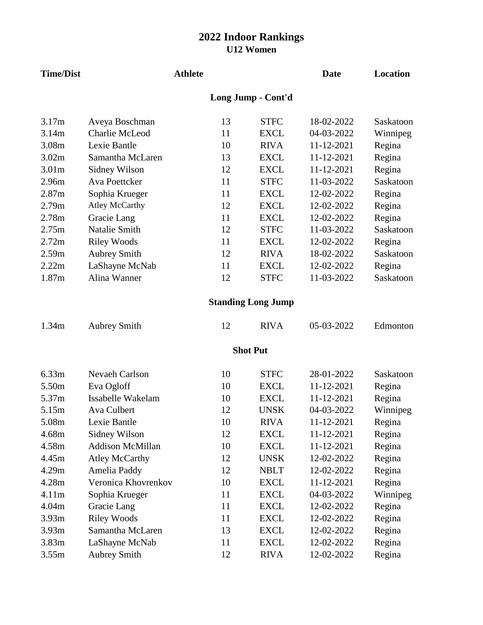| <b>Time/Dist</b>  |                         | <b>Athlete</b> |    |                           | <b>Date</b> | Location  |
|-------------------|-------------------------|----------------|----|---------------------------|-------------|-----------|
|                   |                         |                |    | Long Jump - Cont'd        |             |           |
| 3.17m             | Aveya Boschman          |                | 13 | <b>STFC</b>               | 18-02-2022  | Saskatoon |
| 3.14m             | Charlie McLeod          |                | 11 | <b>EXCL</b>               | 04-03-2022  | Winnipeg  |
| 3.08m             | Lexie Bantle            |                | 10 | <b>RIVA</b>               | 11-12-2021  | Regina    |
| 3.02m             | Samantha McLaren        |                | 13 | <b>EXCL</b>               | 11-12-2021  | Regina    |
| 3.01 <sub>m</sub> | Sidney Wilson           |                | 12 | <b>EXCL</b>               | 11-12-2021  | Regina    |
| 2.96m             | Ava Poettcker           |                | 11 | <b>STFC</b>               | 11-03-2022  | Saskatoon |
| 2.87m             | Sophia Krueger          |                | 11 | <b>EXCL</b>               | 12-02-2022  | Regina    |
| 2.79m             | <b>Atley McCarthy</b>   |                | 12 | <b>EXCL</b>               | 12-02-2022  | Regina    |
| 2.78m             | Gracie Lang             |                | 11 | <b>EXCL</b>               | 12-02-2022  | Regina    |
| 2.75m             | <b>Natalie Smith</b>    |                | 12 | <b>STFC</b>               | 11-03-2022  | Saskatoon |
| 2.72m             | <b>Riley Woods</b>      |                | 11 | <b>EXCL</b>               | 12-02-2022  | Regina    |
| 2.59m             | <b>Aubrey Smith</b>     |                | 12 | <b>RIVA</b>               | 18-02-2022  | Saskatoon |
| 2.22m             | LaShayne McNab          |                | 11 | <b>EXCL</b>               | 12-02-2022  | Regina    |
| 1.87m             | Alina Wanner            |                | 12 | <b>STFC</b>               | 11-03-2022  | Saskatoon |
|                   |                         |                |    | <b>Standing Long Jump</b> |             |           |
| 1.34m             | <b>Aubrey Smith</b>     |                | 12 | <b>RIVA</b>               | 05-03-2022  | Edmonton  |
|                   |                         |                |    | <b>Shot Put</b>           |             |           |
| 6.33m             | <b>Nevaeh Carlson</b>   |                | 10 | <b>STFC</b>               | 28-01-2022  | Saskatoon |
| 5.50m             | Eva Ogloff              |                | 10 | <b>EXCL</b>               | 11-12-2021  | Regina    |
| 5.37m             | Issabelle Wakelam       |                | 10 | <b>EXCL</b>               | 11-12-2021  | Regina    |
| 5.15m             | Ava Culbert             |                | 12 | <b>UNSK</b>               | 04-03-2022  | Winnipeg  |
| 5.08m             | Lexie Bantle            |                | 10 | <b>RIVA</b>               | 11-12-2021  | Regina    |
| 4.68m             | Sidney Wilson           |                | 12 | <b>EXCL</b>               | 11-12-2021  | Regina    |
| 4.58m             | <b>Addison McMillan</b> |                | 10 | <b>EXCL</b>               | 11-12-2021  | Regina    |
| 4.45m             | <b>Atley McCarthy</b>   |                | 12 | <b>UNSK</b>               | 12-02-2022  | Regina    |
| 4.29m             | Amelia Paddy            |                | 12 | <b>NBLT</b>               | 12-02-2022  | Regina    |
| 4.28m             | Veronica Khovrenkov     |                | 10 | <b>EXCL</b>               | 11-12-2021  | Regina    |
| 4.11m             | Sophia Krueger          |                | 11 | <b>EXCL</b>               | 04-03-2022  | Winnipeg  |
| 4.04m             | Gracie Lang             |                | 11 | <b>EXCL</b>               | 12-02-2022  | Regina    |
| 3.93m             | <b>Riley Woods</b>      |                | 11 | <b>EXCL</b>               | 12-02-2022  | Regina    |
| 3.93m             | Samantha McLaren        |                | 13 | <b>EXCL</b>               | 12-02-2022  | Regina    |
| 3.83m             | LaShayne McNab          |                | 11 | <b>EXCL</b>               | 12-02-2022  | Regina    |
| 3.55m             | <b>Aubrey Smith</b>     |                | 12 | <b>RIVA</b>               | 12-02-2022  | Regina    |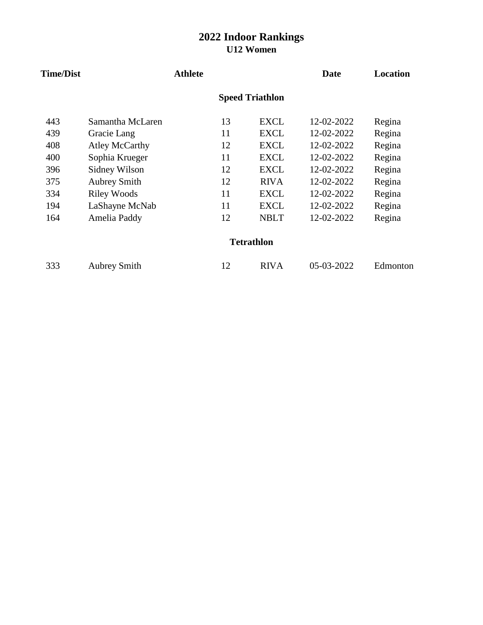| <b>Time/Dist</b> |                       | <b>Athlete</b> |    |                        | <b>Date</b> | <b>Location</b> |
|------------------|-----------------------|----------------|----|------------------------|-------------|-----------------|
|                  |                       |                |    | <b>Speed Triathlon</b> |             |                 |
| 443              | Samantha McLaren      |                | 13 | <b>EXCL</b>            | 12-02-2022  | Regina          |
| 439              | Gracie Lang           |                | 11 | EXCL                   | 12-02-2022  | Regina          |
| 408              | <b>Atley McCarthy</b> |                | 12 | <b>EXCL</b>            | 12-02-2022  | Regina          |
| 400              | Sophia Krueger        |                | 11 | <b>EXCL</b>            | 12-02-2022  | Regina          |
| 396              | Sidney Wilson         |                | 12 | <b>EXCL</b>            | 12-02-2022  | Regina          |
| 375              | <b>Aubrey Smith</b>   |                | 12 | <b>RIVA</b>            | 12-02-2022  | Regina          |
| 334              | <b>Riley Woods</b>    |                | 11 | EXCL                   | 12-02-2022  | Regina          |
| 194              | LaShayne McNab        |                | 11 | <b>EXCL</b>            | 12-02-2022  | Regina          |
| 164              | Amelia Paddy          |                | 12 | <b>NBLT</b>            | 12-02-2022  | Regina          |
|                  |                       |                |    | <b>Tetrathlon</b>      |             |                 |
| 333              | <b>Aubrey Smith</b>   |                | 12 | <b>RIVA</b>            | 05-03-2022  | Edmonton        |